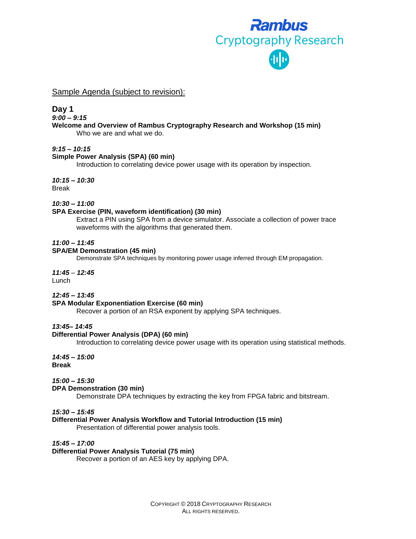

Sample Agenda (subject to revision):

# **Day 1**

*9:00 – 9:15*

#### **Welcome and Overview of Rambus Cryptography Research and Workshop (15 min)** Who we are and what we do.

### *9:15 – 10:15*

## **Simple Power Analysis (SPA) (60 min)**

Introduction to correlating device power usage with its operation by inspection.

*10:15 – 10:30* Break

*10:30 – 11:00*

## **SPA Exercise (PIN, waveform identification) (30 min)**

Extract a PIN using SPA from a device simulator. Associate a collection of power trace waveforms with the algorithms that generated them.

## *11:00 – 11:45*

### **SPA/EM Demonstration (45 min)**

Demonstrate SPA techniques by monitoring power usage inferred through EM propagation.

### *11:45 – 12:45*

Lunch

### *12:45 – 13:45*

# **SPA Modular Exponentiation Exercise (60 min)**

Recover a portion of an RSA exponent by applying SPA techniques.

### *13:45– 14:45*

### **Differential Power Analysis (DPA) (60 min)**

Introduction to correlating device power usage with its operation using statistical methods.

*14:45 – 15:00* **Break**

# *15:00 – 15:30*

### **DPA Demonstration (30 min)**

Demonstrate DPA techniques by extracting the key from FPGA fabric and bitstream.

### *15:30 – 15:45*

### **Differential Power Analysis Workflow and Tutorial Introduction (15 min)**

Presentation of differential power analysis tools.

*15:45 – 17:00*

# **Differential Power Analysis Tutorial (75 min)**

Recover a portion of an AES key by applying DPA.

COPYRIGHT © 2018 CRYPTOGRAPHY RESEARCH ALL RIGHTS RESERVED.